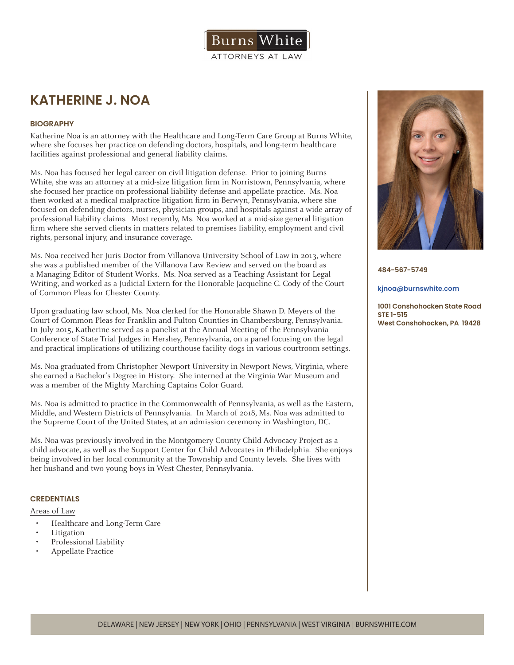

# **KATHERINE J. NOA**

# **BIOGRAPHY**

Katherine Noa is an attorney with the Healthcare and Long-Term Care Group at Burns White, where she focuses her practice on defending doctors, hospitals, and long-term healthcare facilities against professional and general liability claims.

Ms. Noa has focused her legal career on civil litigation defense. Prior to joining Burns White, she was an attorney at a mid-size litigation firm in Norristown, Pennsylvania, where she focused her practice on professional liability defense and appellate practice. Ms. Noa then worked at a medical malpractice litigation firm in Berwyn, Pennsylvania, where she focused on defending doctors, nurses, physician groups, and hospitals against a wide array of professional liability claims. Most recently, Ms. Noa worked at a mid-size general litigation firm where she served clients in matters related to premises liability, employment and civil rights, personal injury, and insurance coverage.

Ms. Noa received her Juris Doctor from Villanova University School of Law in 2013, where she was a published member of the Villanova Law Review and served on the board as a Managing Editor of Student Works. Ms. Noa served as a Teaching Assistant for Legal Writing, and worked as a Judicial Extern for the Honorable Jacqueline C. Cody of the Court of Common Pleas for Chester County.

Upon graduating law school, Ms. Noa clerked for the Honorable Shawn D. Meyers of the Court of Common Pleas for Franklin and Fulton Counties in Chambersburg, Pennsylvania. In July 2015, Katherine served as a panelist at the Annual Meeting of the Pennsylvania Conference of State Trial Judges in Hershey, Pennsylvania, on a panel focusing on the legal and practical implications of utilizing courthouse facility dogs in various courtroom settings.

Ms. Noa graduated from Christopher Newport University in Newport News, Virginia, where she earned a Bachelor's Degree in History. She interned at the Virginia War Museum and was a member of the Mighty Marching Captains Color Guard.

Ms. Noa is admitted to practice in the Commonwealth of Pennsylvania, as well as the Eastern, Middle, and Western Districts of Pennsylvania. In March of 2018, Ms. Noa was admitted to the Supreme Court of the United States, at an admission ceremony in Washington, DC.

Ms. Noa was previously involved in the Montgomery County Child Advocacy Project as a child advocate, as well as the Support Center for Child Advocates in Philadelphia. She enjoys being involved in her local community at the Township and County levels. She lives with her husband and two young boys in West Chester, Pennsylvania.

## **CREDENTIALS**

### Areas of Law

- Healthcare and Long-Term Care
- **Litigation**
- Professional Liability
- Appellate Practice



**484-567-5749**

#### **kjnoa@burnswhite.com**

**1001 Conshohocken State Road STE 1-515 West Conshohocken, PA 19428**